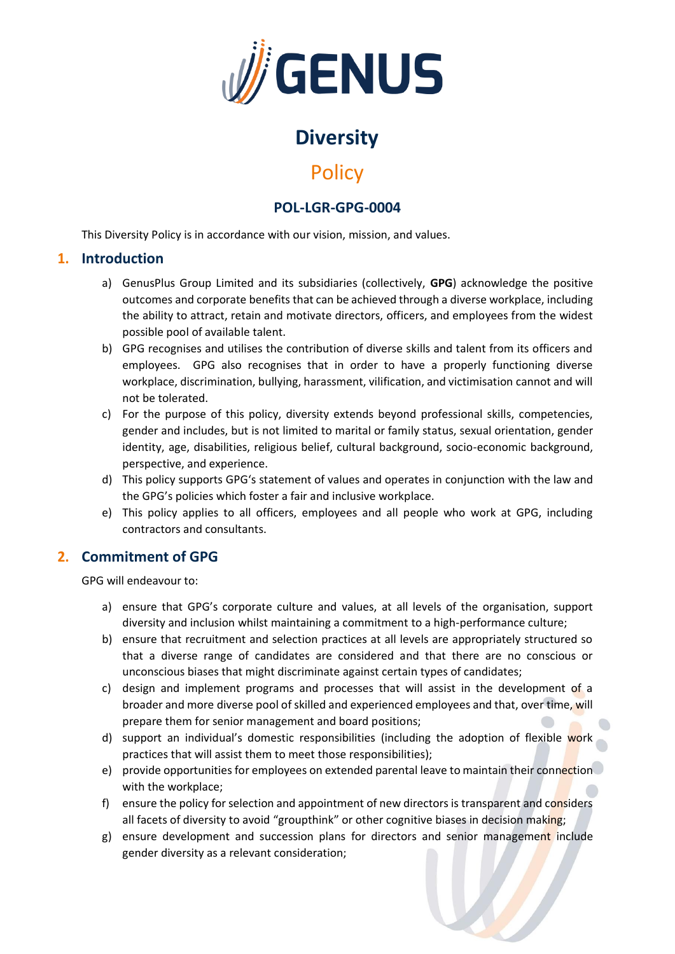

# **Diversity**

# **Policy**

## **POL-LGR-GPG-0004**

This Diversity Policy is in accordance with our vision, mission, and values.

#### **1. Introduction**

- a) GenusPlus Group Limited and its subsidiaries (collectively, **GPG**) acknowledge the positive outcomes and corporate benefits that can be achieved through a diverse workplace, including the ability to attract, retain and motivate directors, officers, and employees from the widest possible pool of available talent.
- b) GPG recognises and utilises the contribution of diverse skills and talent from its officers and employees. GPG also recognises that in order to have a properly functioning diverse workplace, discrimination, bullying, harassment, vilification, and victimisation cannot and will not be tolerated.
- c) For the purpose of this policy, diversity extends beyond professional skills, competencies, gender and includes, but is not limited to marital or family status, sexual orientation, gender identity, age, disabilities, religious belief, cultural background, socio-economic background, perspective, and experience.
- d) This policy supports GPG's statement of values and operates in conjunction with the law and the GPG's policies which foster a fair and inclusive workplace.
- e) This policy applies to all officers, employees and all people who work at GPG, including contractors and consultants.

### **2. Commitment of GPG**

GPG will endeavour to:

- a) ensure that GPG's corporate culture and values, at all levels of the organisation, support diversity and inclusion whilst maintaining a commitment to a high-performance culture;
- b) ensure that recruitment and selection practices at all levels are appropriately structured so that a diverse range of candidates are considered and that there are no conscious or unconscious biases that might discriminate against certain types of candidates;
- c) design and implement programs and processes that will assist in the development of a broader and more diverse pool of skilled and experienced employees and that, over time, will prepare them for senior management and board positions;
- d) support an individual's domestic responsibilities (including the adoption of flexible work practices that will assist them to meet those responsibilities);
- e) provide opportunities for employees on extended parental leave to maintain their connection with the workplace;
- f) ensure the policy for selection and appointment of new directors is transparent and considers all facets of diversity to avoid "groupthink" or other cognitive biases in decision making;
- g) ensure development and succession plans for directors and senior management include gender diversity as a relevant consideration;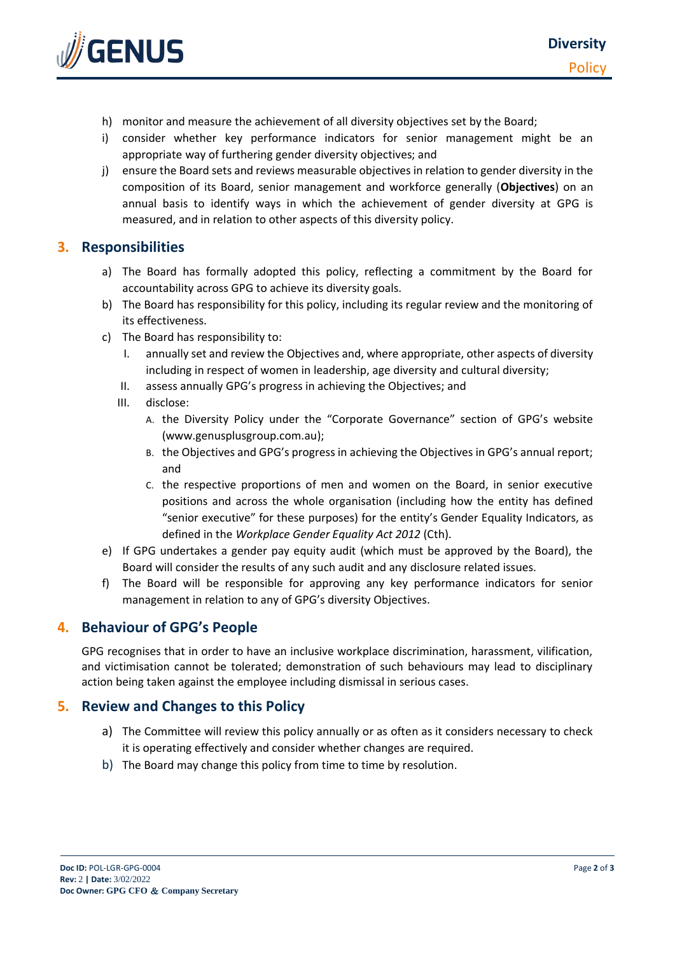

- h) monitor and measure the achievement of all diversity objectives set by the Board;
- i) consider whether key performance indicators for senior management might be an appropriate way of furthering gender diversity objectives; and
- j) ensure the Board sets and reviews measurable objectives in relation to gender diversity in the composition of its Board, senior management and workforce generally (**Objectives**) on an annual basis to identify ways in which the achievement of gender diversity at GPG is measured, and in relation to other aspects of this diversity policy.

#### **3. Responsibilities**

- a) The Board has formally adopted this policy, reflecting a commitment by the Board for accountability across GPG to achieve its diversity goals.
- b) The Board has responsibility for this policy, including its regular review and the monitoring of its effectiveness.
- c) The Board has responsibility to:
	- I. annually set and review the Objectives and, where appropriate, other aspects of diversity including in respect of women in leadership, age diversity and cultural diversity;
	- II. assess annually GPG's progress in achieving the Objectives; and
	- III. disclose:
		- A. the Diversity Policy under the "Corporate Governance" section of GPG's website (www.genusplusgroup.com.au);
		- B. the Objectives and GPG's progress in achieving the Objectives in GPG's annual report; and
		- C. the respective proportions of men and women on the Board, in senior executive positions and across the whole organisation (including how the entity has defined "senior executive" for these purposes) for the entity's Gender Equality Indicators, as defined in the *Workplace Gender Equality Act 2012* (Cth).
- e) If GPG undertakes a gender pay equity audit (which must be approved by the Board), the Board will consider the results of any such audit and any disclosure related issues.
- f) The Board will be responsible for approving any key performance indicators for senior management in relation to any of GPG's diversity Objectives.

### **4. Behaviour of GPG's People**

GPG recognises that in order to have an inclusive workplace discrimination, harassment, vilification, and victimisation cannot be tolerated; demonstration of such behaviours may lead to disciplinary action being taken against the employee including dismissal in serious cases.

#### **5. Review and Changes to this Policy**

- a) The Committee will review this policy annually or as often as it considers necessary to check it is operating effectively and consider whether changes are required.
- b) The Board may change this policy from time to time by resolution.